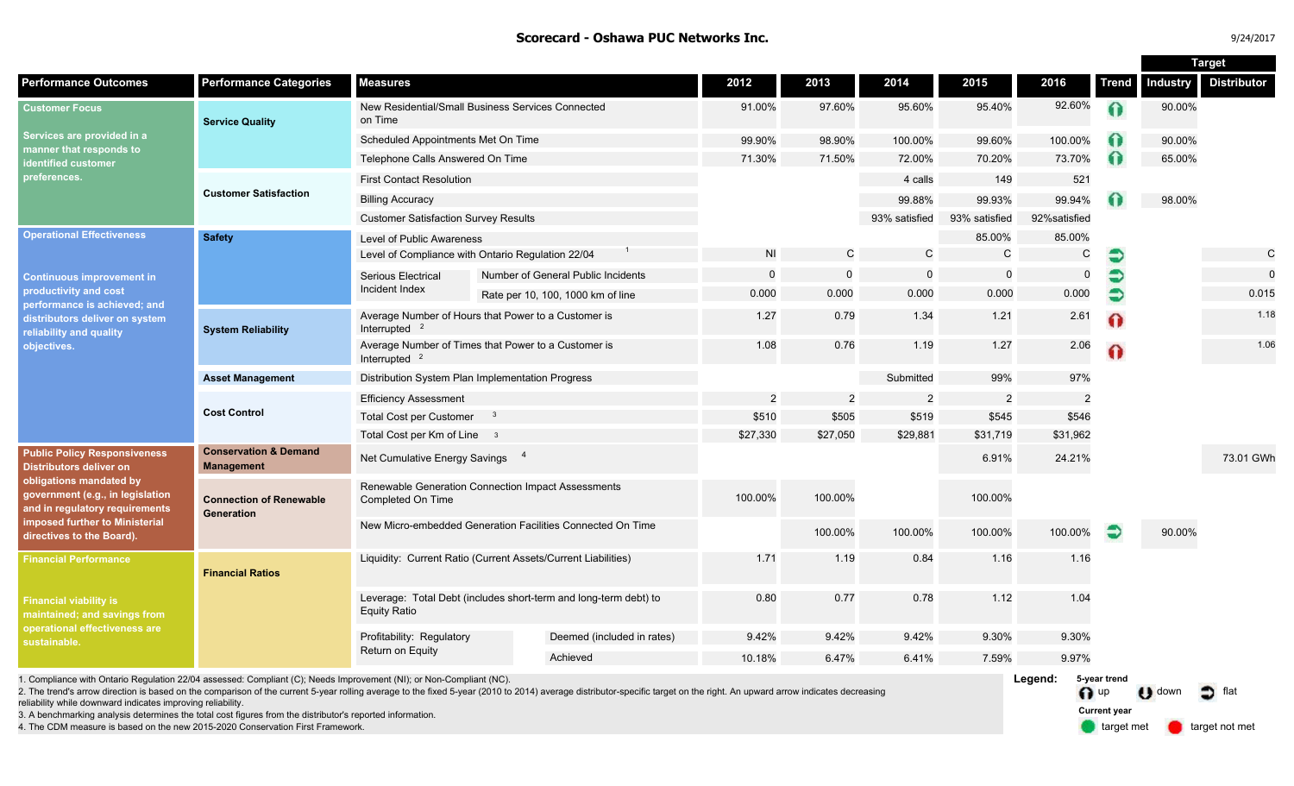### **Scorecard - Oshawa PUC Networks Inc.** And the set of the set of the set of the set of the set of the set of the set of the set of the set of the set of the set of the set of the set of the set of the set of the set of the

| 4/201 |
|-------|
|       |

|                                                                                                                                                                                                                                |                                                                                                                                                                                                                                                                                                                                                  |                                                                                         |  |                                    |                         |                |               | <b>Target</b>  |               |                              |                 |                    |
|--------------------------------------------------------------------------------------------------------------------------------------------------------------------------------------------------------------------------------|--------------------------------------------------------------------------------------------------------------------------------------------------------------------------------------------------------------------------------------------------------------------------------------------------------------------------------------------------|-----------------------------------------------------------------------------------------|--|------------------------------------|-------------------------|----------------|---------------|----------------|---------------|------------------------------|-----------------|--------------------|
| <b>Performance Outcomes</b>                                                                                                                                                                                                    | <b>Performance Categories</b>                                                                                                                                                                                                                                                                                                                    | <b>Measures</b>                                                                         |  |                                    | 2012                    | 2013           | 2014          | 2015           | 2016          | Trend                        | <b>Industry</b> | <b>Distributor</b> |
| <b>Customer Focus</b><br>Services are provided in a<br>manner that responds to<br>identified customer<br>›references.                                                                                                          | <b>Service Quality</b>                                                                                                                                                                                                                                                                                                                           | New Residential/Small Business Services Connected<br>on Time                            |  |                                    | 91.00%                  | 97.60%         | 95.60%        | 95.40%         | 92.60%        | $\Omega$                     | 90.00%          |                    |
|                                                                                                                                                                                                                                |                                                                                                                                                                                                                                                                                                                                                  | Scheduled Appointments Met On Time                                                      |  |                                    | 99.90%                  | 98.90%         | 100.00%       | 99.60%         | 100.00%       |                              | 90.00%          |                    |
|                                                                                                                                                                                                                                |                                                                                                                                                                                                                                                                                                                                                  | Telephone Calls Answered On Time                                                        |  |                                    | 71.30%                  | 71.50%         | 72.00%        | 70.20%         | 73.70%        |                              | 65.00%          |                    |
|                                                                                                                                                                                                                                | <b>Customer Satisfaction</b>                                                                                                                                                                                                                                                                                                                     | <b>First Contact Resolution</b>                                                         |  |                                    |                         |                | 4 calls       | 149            | 521           |                              |                 |                    |
|                                                                                                                                                                                                                                |                                                                                                                                                                                                                                                                                                                                                  | <b>Billing Accuracy</b>                                                                 |  |                                    |                         |                | 99.88%        | 99.93%         | 99.94%        |                              | 98.00%          |                    |
|                                                                                                                                                                                                                                |                                                                                                                                                                                                                                                                                                                                                  | <b>Customer Satisfaction Survey Results</b>                                             |  |                                    |                         |                | 93% satisfied | 93% satisfied  | 92% satisfied |                              |                 |                    |
| <b>Operational Effectiveness</b><br><b>Continuous improvement in</b><br>productivity and cost<br>performance is achieved; and<br>distributors deliver on system<br>reliability and quality<br>objectives.                      | <b>Safety</b>                                                                                                                                                                                                                                                                                                                                    | Level of Public Awareness                                                               |  |                                    |                         |                |               | 85.00%         | 85.00%        |                              |                 |                    |
|                                                                                                                                                                                                                                |                                                                                                                                                                                                                                                                                                                                                  | Level of Compliance with Ontario Regulation 22/04                                       |  |                                    | N <sub>l</sub>          | $\mathsf{C}$   | $\mathcal{C}$ | $\mathbf C$    | C             | €                            |                 | $\mathsf{C}$       |
|                                                                                                                                                                                                                                |                                                                                                                                                                                                                                                                                                                                                  | Serious Electrical                                                                      |  | Number of General Public Incidents | $\mathbf 0$             | $\mathbf 0$    | 0             | $\mathbf 0$    | $\mathbf 0$   | €                            |                 | $\mathbf 0$        |
|                                                                                                                                                                                                                                |                                                                                                                                                                                                                                                                                                                                                  | Incident Index                                                                          |  | Rate per 10, 100, 1000 km of line  | 0.000                   | 0.000          | 0.000         | 0.000          | 0.000         | €                            |                 | 0.015              |
|                                                                                                                                                                                                                                | <b>System Reliability</b>                                                                                                                                                                                                                                                                                                                        | Average Number of Hours that Power to a Customer is<br>Interrupted $2$                  |  |                                    | 1.27                    | 0.79           | 1.34          | 1.21           | 2.61          | ⋒                            |                 | 1.18               |
|                                                                                                                                                                                                                                |                                                                                                                                                                                                                                                                                                                                                  | Average Number of Times that Power to a Customer is<br>Interrupted <sup>2</sup>         |  |                                    | 1.08                    | 0.76           | 1.19          | 1.27           | 2.06          | Ω                            |                 | 1.06               |
|                                                                                                                                                                                                                                | <b>Asset Management</b>                                                                                                                                                                                                                                                                                                                          | Distribution System Plan Implementation Progress                                        |  |                                    |                         |                | Submitted     | 99%            | 97%           |                              |                 |                    |
|                                                                                                                                                                                                                                | <b>Cost Control</b>                                                                                                                                                                                                                                                                                                                              | <b>Efficiency Assessment</b>                                                            |  |                                    | $\overline{2}$          | $\overline{2}$ | 2             | $\overline{2}$ | 2             |                              |                 |                    |
|                                                                                                                                                                                                                                |                                                                                                                                                                                                                                                                                                                                                  | <b>Total Cost per Customer</b><br>$\mathbf{3}$                                          |  |                                    | \$510                   | \$505          | \$519         | \$545          | \$546         |                              |                 |                    |
|                                                                                                                                                                                                                                |                                                                                                                                                                                                                                                                                                                                                  | Total Cost per Km of Line 3                                                             |  |                                    | \$27,330                | \$27,050       | \$29,881      | \$31,719       | \$31,962      |                              |                 |                    |
| <b>Public Policy Responsiveness</b><br>Distributors deliver on<br>obligations mandated by<br>government (e.g., in legislation<br>and in regulatory requirements<br>imposed further to Ministerial<br>directives to the Board). | <b>Conservation &amp; Demand</b><br><b>Management</b>                                                                                                                                                                                                                                                                                            | Net Cumulative Energy Savings 4                                                         |  |                                    |                         |                |               | 6.91%          | 24.21%        |                              |                 | 73.01 GWh          |
|                                                                                                                                                                                                                                | <b>Connection of Renewable</b><br>Generation                                                                                                                                                                                                                                                                                                     | Renewable Generation Connection Impact Assessments<br>Completed On Time                 |  |                                    | 100.00%                 | 100.00%        |               | 100.00%        |               |                              |                 |                    |
|                                                                                                                                                                                                                                |                                                                                                                                                                                                                                                                                                                                                  | New Micro-embedded Generation Facilities Connected On Time                              |  |                                    |                         | 100.00%        | 100.00%       | 100.00%        | 100.00%       | €                            | 90.00%          |                    |
| <b>Financial Performance</b>                                                                                                                                                                                                   | <b>Financial Ratios</b>                                                                                                                                                                                                                                                                                                                          | Liquidity: Current Ratio (Current Assets/Current Liabilities)                           |  |                                    | 1.71                    | 1.19           | 0.84          | 1.16           | 1.16          |                              |                 |                    |
| <b>Financial viability is</b><br>maintained; and savings from<br>operational effectiveness are<br>sustainable.                                                                                                                 |                                                                                                                                                                                                                                                                                                                                                  | Leverage: Total Debt (includes short-term and long-term debt) to<br><b>Equity Ratio</b> |  |                                    | 0.80                    | 0.77           | 0.78          | 1.12           | 1.04          |                              |                 |                    |
|                                                                                                                                                                                                                                |                                                                                                                                                                                                                                                                                                                                                  | Profitability: Regulatory<br>Return on Equity                                           |  | Deemed (included in rates)         | 9.42%<br>9.42%<br>9.42% |                | 9.30%         | 9.30%          |               |                              |                 |                    |
|                                                                                                                                                                                                                                |                                                                                                                                                                                                                                                                                                                                                  |                                                                                         |  | Achieved                           | 10.18%                  | 6.47%          | 6.41%         | 7.59%          | 9.97%         |                              |                 |                    |
|                                                                                                                                                                                                                                | 1. Compliance with Ontario Regulation 22/04 assessed: Compliant (C); Needs Improvement (NI); or Non-Compliant (NC).<br>2. The trend's arrow direction is based on the comparison of the current 5-year rolling average to the fixed 5-year (2010 to 2014) average distributor-specific target on the right. An upward arrow indicates decreasing |                                                                                         |  |                                    |                         |                |               |                |               | 5-year trend<br>$\bigcap$ up | $\bigcup$ down  | flat<br>n          |

reliability while downward indicates improving reliability.

3. A benchmarking analysis determines the total cost figures from the distributor's reported information.

4. The CDM measure is based on the new 2015-2020 Conservation First Framework.

target met **target not met Current year**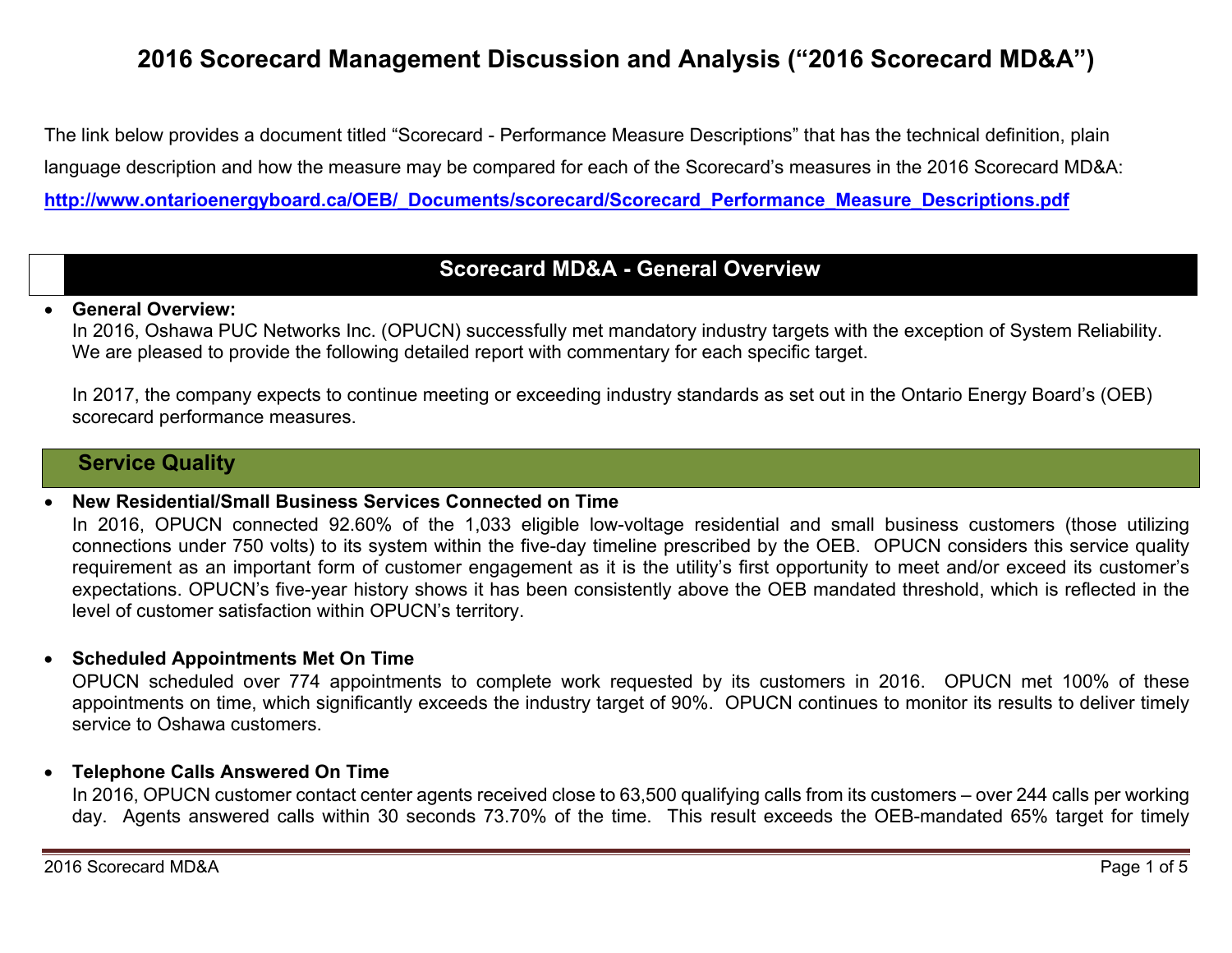# **2016 Scorecard Management Discussion and Analysis ("2016 Scorecard MD&A")**

The link below provides a document titled "Scorecard - Performance Measure Descriptions" that has the technical definition, plain language description and how the measure may be compared for each of the Scorecard's measures in the 2016 Scorecard MD&A: **http://www.ontarioenergyboard.ca/OEB/\_Documents/scorecard/Scorecard\_Performance\_Measure\_Descriptions.pdf** 

## **Scorecard MD&A - General Overview**

#### 0 **General Overview:**

In 2016, Oshawa PUC Networks Inc. (OPUCN) successfully met mandatory industry targets with the exception of System Reliability. We are pleased to provide the following detailed report with commentary for each specific target.

In 2017, the company expects to continue meeting or exceeding industry standards as set out in the Ontario Energy Board's (OEB) scorecard performance measures.

## **Service Quality**

#### 0 **New Residential/Small Business Services Connected on Time**

In 2016, OPUCN connected 92.60% of the 1,033 eligible low-voltage residential and small business customers (those utilizing connections under 750 volts) to its system within the five-day timeline prescribed by the OEB. OPUCN considers this service quality requirement as an important form of customer engagement as it is the utility's first opportunity to meet and/or exceed its customer's expectations. OPUCN's five-year history shows it has been consistently above the OEB mandated threshold, which is reflected in the level of customer satisfaction within OPUCN's territory.

### **Scheduled Appointments Met On Time**

OPUCN scheduled over 774 appointments to complete work requested by its customers in 2016. OPUCN met 100% of these appointments on time, which significantly exceeds the industry target of 90%. OPUCN continues to monitor its results to deliver timely service to Oshawa customers.

### **Telephone Calls Answered On Time**

In 2016, OPUCN customer contact center agents received close to 63,500 qualifying calls from its customers – over 244 calls per working day. Agents answered calls within 30 seconds 73.70% of the time. This result exceeds the OEB-mandated 65% target for timely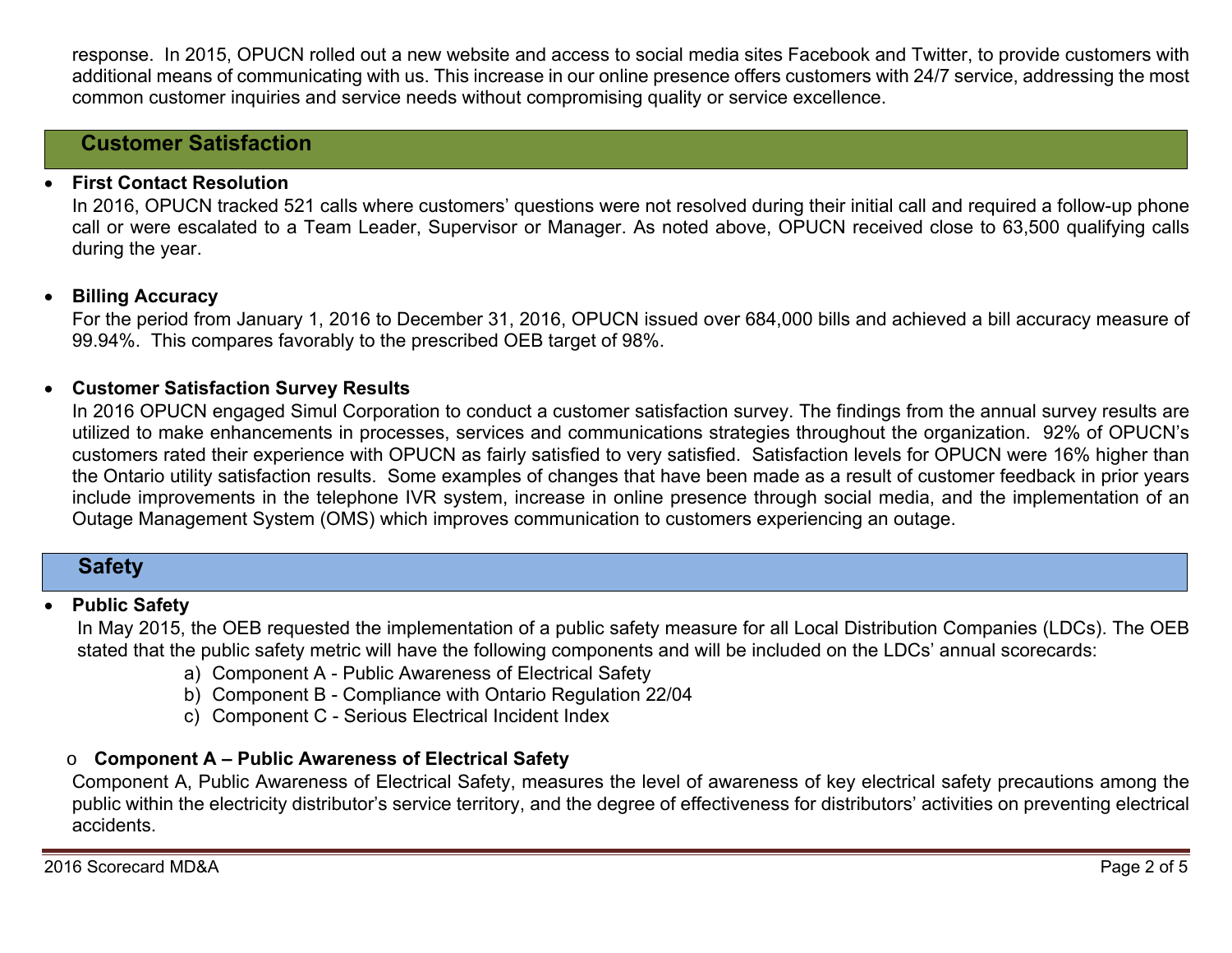response. In 2015, OPUCN rolled out a new website and access to social media sites Facebook and Twitter, to provide customers with additional means of communicating with us. This increase in our online presence offers customers with 24/7 service, addressing the most common customer inquiries and service needs without compromising quality or service excellence.

## **Customer Satisfaction**

#### 0 **First Contact Resolution**

In 2016, OPUCN tracked 521 calls where customers' questions were not resolved during their initial call and required a follow-up phone call or were escalated to a Team Leader, Supervisor or Manager. As noted above, OPUCN received close to 63,500 qualifying calls during the year.

### **Billing Accuracy**

For the period from January 1, 2016 to December 31, 2016, OPUCN issued over 684,000 bills and achieved a bill accuracy measure of 99.94%. This compares favorably to the prescribed OEB target of 98%.

#### $\bullet$ **Customer Satisfaction Survey Results**

In 2016 OPUCN engaged Simul Corporation to conduct a customer satisfaction survey. The findings from the annual survey results are utilized to make enhancements in processes, services and communications strategies throughout the organization. 92% of OPUCN's customers rated their experience with OPUCN as fairly satisfied to very satisfied. Satisfaction levels for OPUCN were 16% higher than the Ontario utility satisfaction results. Some examples of changes that have been made as a result of customer feedback in prior years include improvements in the telephone IVR system, increase in online presence through social media, and the implementation of an Outage Management System (OMS) which improves communication to customers experiencing an outage.

## **Safety**

#### 0 **Public Safety**

In May 2015, the OEB requested the implementation of a public safety measure for all Local Distribution Companies (LDCs). The OEB stated that the public safety metric will have the following components and will be included on the LDCs' annual scorecards:

- a) Component A Public Awareness of Electrical Safety
- b) Component B Compliance with Ontario Regulation 22/04
- c) Component C Serious Electrical Incident Index

#### o**Component A – Public Awareness of Electrical Safety**

Component A, Public Awareness of Electrical Safety, measures the level of awareness of key electrical safety precautions among the public within the electricity distributor's service territory, and the degree of effectiveness for distributors' activities on preventing electrical accidents.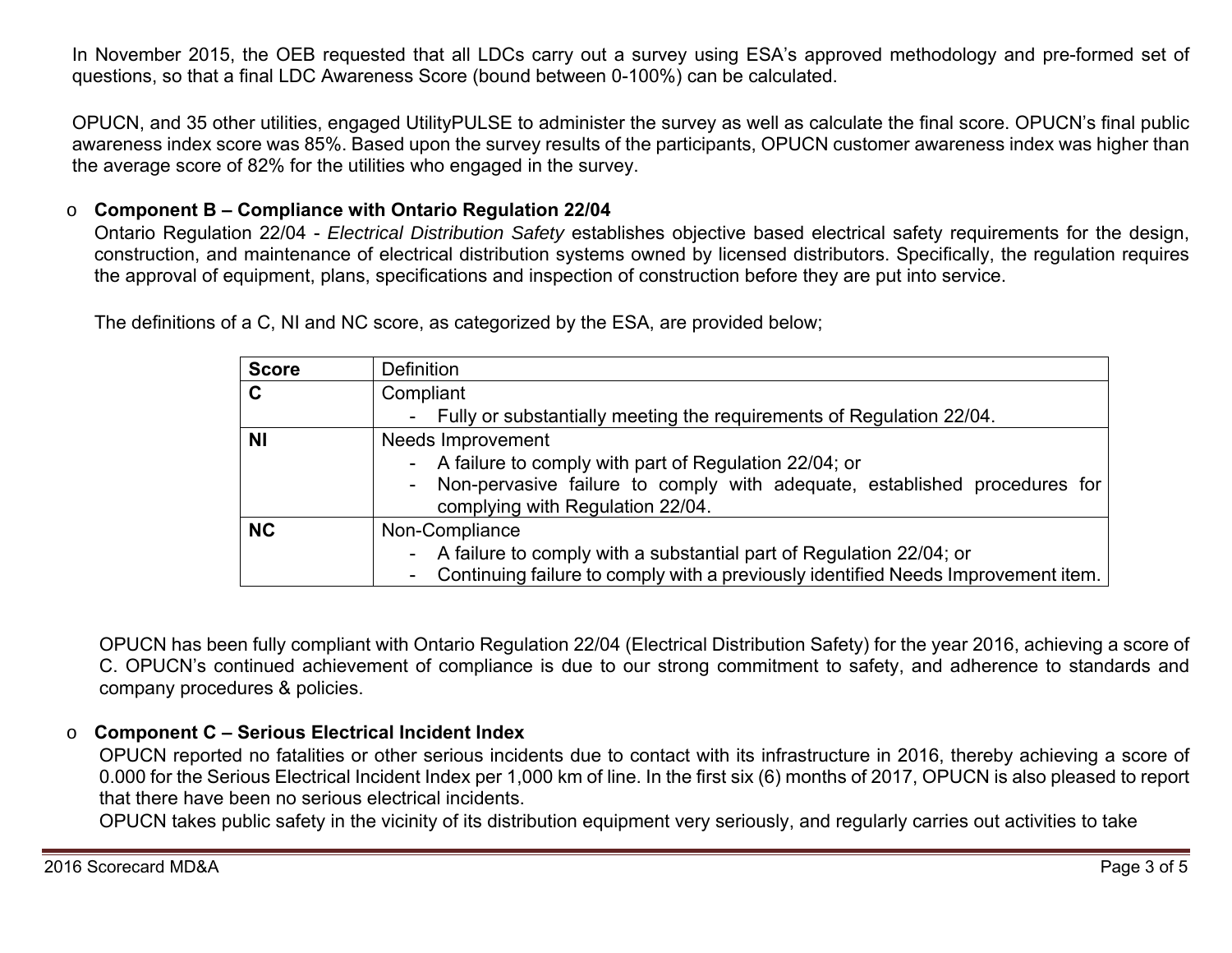In November 2015, the OEB requested that all LDCs carry out a survey using ESA's approved methodology and pre-formed set of questions, so that a final LDC Awareness Score (bound between 0-100%) can be calculated.

OPUCN, and 35 other utilities, engaged UtilityPULSE to administer the survey as well as calculate the final score. OPUCN's final public awareness index score was 85%. Based upon the survey results of the participants, OPUCN customer awareness index was higher than the average score of 82% for the utilities who engaged in the survey.

#### o**Component B – Compliance with Ontario Regulation 22/04**

Ontario Regulation 22/04 - *Electrical Distribution Safety* establishes objective based electrical safety requirements for the design, construction, and maintenance of electrical distribution systems owned by licensed distributors. Specifically, the regulation requires the approval of equipment, plans, specifications and inspection of construction before they are put into service.

> **Score** | Definition **C** Compliant - Fully or substantially meeting the requirements of Regulation 22/04. **NI Needs** Improvement - A failure to comply with part of Regulation 22/04; or - Non-pervasive failure to comply with adequate, established procedures for complying with Regulation 22/04. **NC** | Non-Compliance - A failure to comply with a substantial part of Regulation 22/04; or - Continuing failure to comply with a previously identified Needs Improvement item.

The definitions of a C, NI and NC score, as categorized by the ESA, are provided below;

OPUCN has been fully compliant with Ontario Regulation 22/04 (Electrical Distribution Safety) for the year 2016, achieving a score of C. OPUCN's continued achievement of compliance is due to our strong commitment to safety, and adherence to standards and company procedures & policies.

#### o**Component C – Serious Electrical Incident Index**

OPUCN reported no fatalities or other serious incidents due to contact with its infrastructure in 2016, thereby achieving a score of 0.000 for the Serious Electrical Incident Index per 1,000 km of line. In the first six (6) months of 2017, OPUCN is also pleased to report that there have been no serious electrical incidents.

OPUCN takes public safety in the vicinity of its distribution equipment very seriously, and regularly carries out activities to take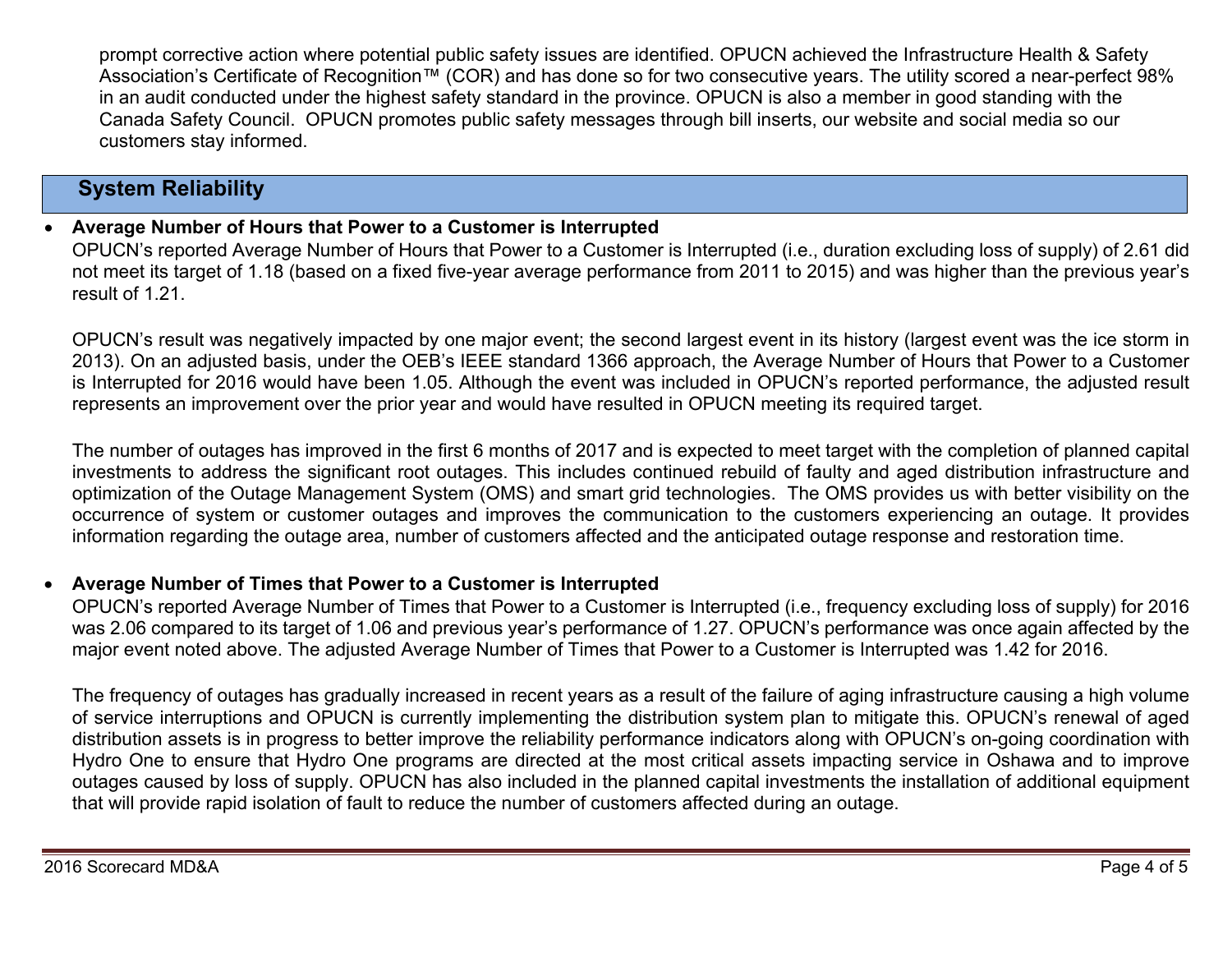prompt corrective action where potential public safety issues are identified. OPUCN achieved the Infrastructure Health & Safety Association's Certificate of Recognition™ (COR) and has done so for two consecutive years. The utility scored a near-perfect 98% in an audit conducted under the highest safety standard in the province. OPUCN is also a member in good standing with the Canada Safety Council. OPUCN promotes public safety messages through bill inserts, our website and social media so our customers stay informed.

# **System Reliability**

#### 0 **Average Number of Hours that Power to a Customer is Interrupted**

OPUCN's reported Average Number of Hours that Power to a Customer is Interrupted (i.e., duration excluding loss of supply) of 2.61 did not meet its target of 1.18 (based on a fixed five-year average performance from 2011 to 2015) and was higher than the previous year's result of 1.21.

OPUCN's result was negatively impacted by one major event; the second largest event in its history (largest event was the ice storm in 2013). On an adjusted basis, under the OEB's IEEE standard 1366 approach, the Average Number of Hours that Power to a Customer is Interrupted for 2016 would have been 1.05. Although the event was included in OPUCN's reported performance, the adjusted result represents an improvement over the prior year and would have resulted in OPUCN meeting its required target.

The number of outages has improved in the first 6 months of 2017 and is expected to meet target with the completion of planned capital investments to address the significant root outages. This includes continued rebuild of faulty and aged distribution infrastructure and optimization of the Outage Management System (OMS) and smart grid technologies. The OMS provides us with better visibility on the occurrence of system or customer outages and improves the communication to the customers experiencing an outage. It provides information regarding the outage area, number of customers affected and the anticipated outage response and restoration time.

#### 0 **Average Number of Times that Power to a Customer is Interrupted**

OPUCN's reported Average Number of Times that Power to a Customer is Interrupted (i.e., frequency excluding loss of supply) for 2016 was 2.06 compared to its target of 1.06 and previous year's performance of 1.27. OPUCN's performance was once again affected by the major event noted above. The adjusted Average Number of Times that Power to a Customer is Interrupted was 1.42 for 2016.

The frequency of outages has gradually increased in recent years as a result of the failure of aging infrastructure causing a high volume of service interruptions and OPUCN is currently implementing the distribution system plan to mitigate this. OPUCN's renewal of aged distribution assets is in progress to better improve the reliability performance indicators along with OPUCN's on-going coordination with Hydro One to ensure that Hydro One programs are directed at the most critical assets impacting service in Oshawa and to improve outages caused by loss of supply. OPUCN has also included in the planned capital investments the installation of additional equipment that will provide rapid isolation of fault to reduce the number of customers affected during an outage.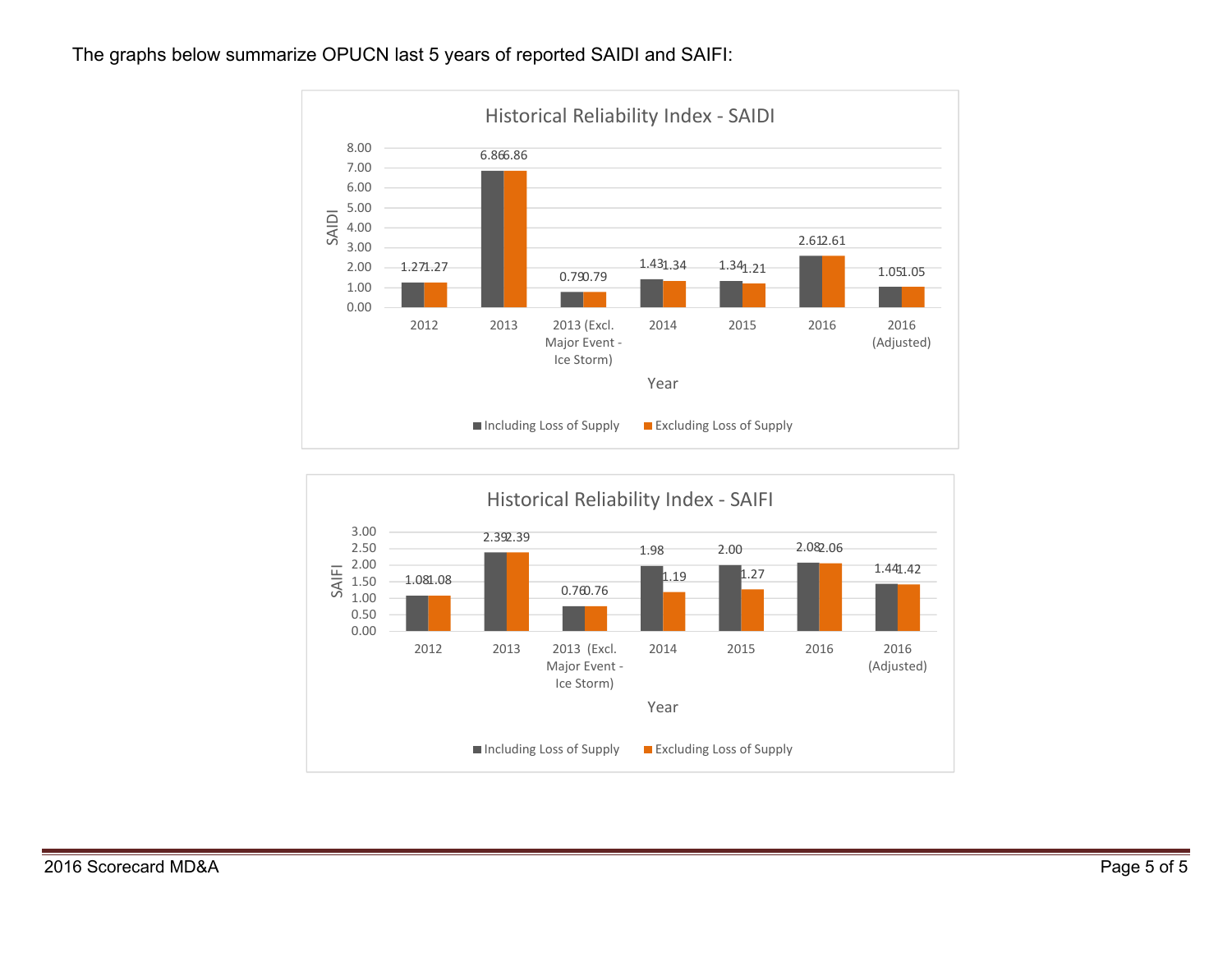### The graphs below summarize OPUCN last 5 years of reported SAIDI and SAIFI:



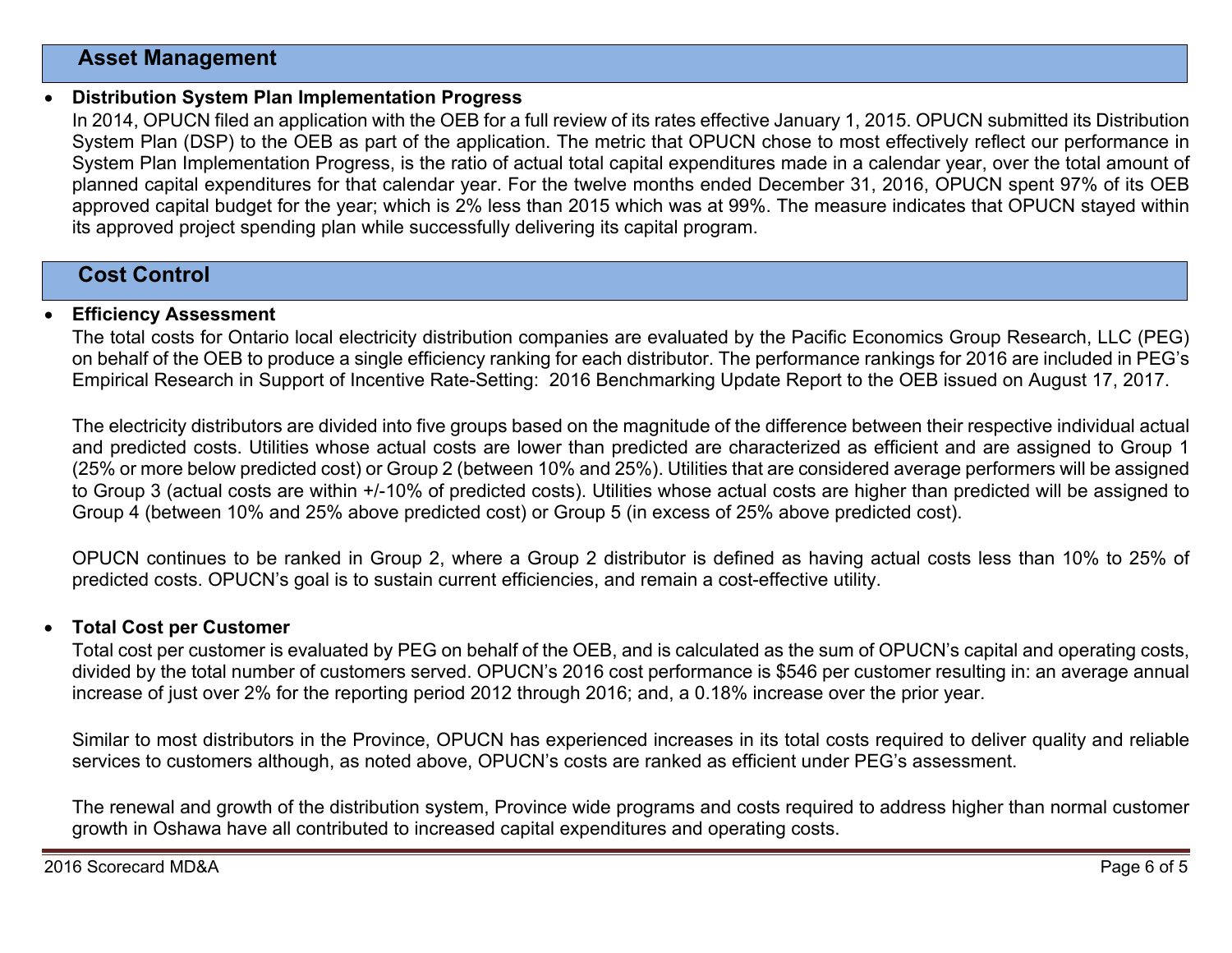## **Asset Management**

#### 0 **Distribution System Plan Implementation Progress**

In 2014, OPUCN filed an application with the OEB for a full review of its rates effective January 1, 2015. OPUCN submitted its Distribution System Plan (DSP) to the OEB as part of the application. The metric that OPUCN chose to most effectively reflect our performance in System Plan Implementation Progress, is the ratio of actual total capital expenditures made in a calendar year, over the total amount of planned capital expenditures for that calendar year. For the twelve months ended December 31, 2016, OPUCN spent 97% of its OEB approved capital budget for the year; which is 2% less than 2015 which was at 99%. The measure indicates that OPUCN stayed within its approved project spending plan while successfully delivering its capital program.

## **Cost Control**

#### $\bullet$ **Efficiency Assessment**

The total costs for Ontario local electricity distribution companies are evaluated by the Pacific Economics Group Research, LLC (PEG) on behalf of the OEB to produce a single efficiency ranking for each distributor. The performance rankings for 2016 are included in PEG's Empirical Research in Support of Incentive Rate-Setting: 2016 Benchmarking Update Report to the OEB issued on August 17, 2017.

The electricity distributors are divided into five groups based on the magnitude of the difference between their respective individual actual and predicted costs. Utilities whose actual costs are lower than predicted are characterized as efficient and are assigned to Group 1 (25% or more below predicted cost) or Group 2 (between 10% and 25%). Utilities that are considered average performers will be assigned to Group 3 (actual costs are within +/-10% of predicted costs). Utilities whose actual costs are higher than predicted will be assigned to Group 4 (between 10% and 25% above predicted cost) or Group 5 (in excess of 25% above predicted cost).

OPUCN continues to be ranked in Group 2, where a Group 2 distributor is defined as having actual costs less than 10% to 25% of predicted costs. OPUCN's goal is to sustain current efficiencies, and remain a cost-effective utility.

#### 0 **Total Cost per Customer**

Total cost per customer is evaluated by PEG on behalf of the OEB, and is calculated as the sum of OPUCN's capital and operating costs, divided by the total number of customers served. OPUCN's 2016 cost performance is \$546 per customer resulting in: an average annual increase of just over 2% for the reporting period 2012 through 2016; and, a 0.18% increase over the prior year.

Similar to most distributors in the Province, OPUCN has experienced increases in its total costs required to deliver quality and reliable services to customers although, as noted above, OPUCN's costs are ranked as efficient under PEG's assessment.

The renewal and growth of the distribution system, Province wide programs and costs required to address higher than normal customer growth in Oshawa have all contributed to increased capital expenditures and operating costs.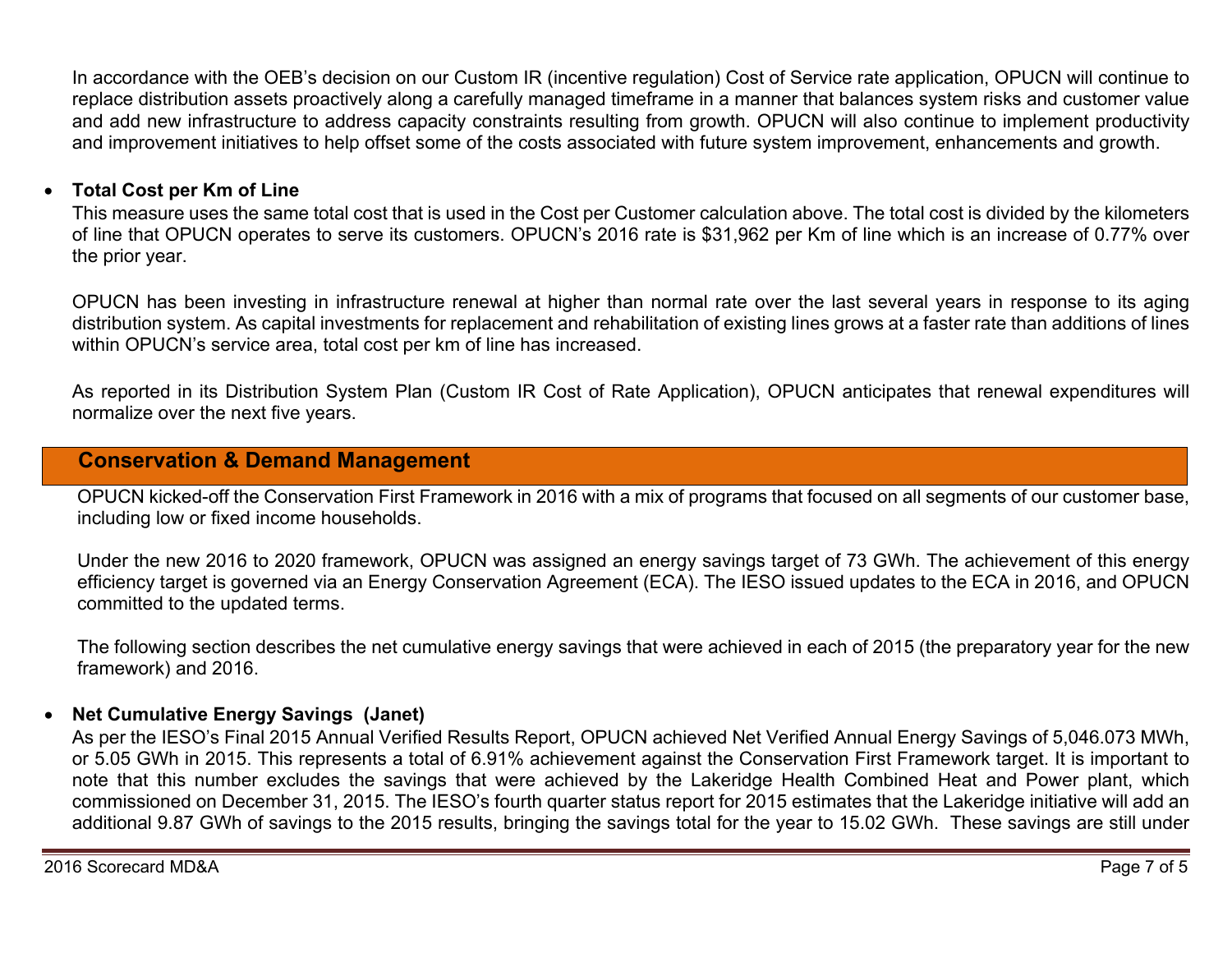In accordance with the OEB's decision on our Custom IR (incentive regulation) Cost of Service rate application, OPUCN will continue to replace distribution assets proactively along a carefully managed timeframe in a manner that balances system risks and customer value and add new infrastructure to address capacity constraints resulting from growth. OPUCN will also continue to implement productivity and improvement initiatives to help offset some of the costs associated with future system improvement, enhancements and growth.

### **Total Cost per Km of Line**

This measure uses the same total cost that is used in the Cost per Customer calculation above. The total cost is divided by the kilometers of line that OPUCN operates to serve its customers. OPUCN's 2016 rate is \$31,962 per Km of line which is an increase of 0.77% over the prior year.

OPUCN has been investing in infrastructure renewal at higher than normal rate over the last several years in response to its aging distribution system. As capital investments for replacement and rehabilitation of existing lines grows at a faster rate than additions of lines within OPUCN's service area, total cost per km of line has increased.

As reported in its Distribution System Plan (Custom IR Cost of Rate Application), OPUCN anticipates that renewal expenditures will normalize over the next five years.

## **Conservation & Demand Management**

OPUCN kicked-off the Conservation First Framework in 2016 with a mix of programs that focused on all segments of our customer base, including low or fixed income households.

Under the new 2016 to 2020 framework, OPUCN was assigned an energy savings target of 73 GWh. The achievement of this energy efficiency target is governed via an Energy Conservation Agreement (ECA). The IESO issued updates to the ECA in 2016, and OPUCN committed to the updated terms.

The following section describes the net cumulative energy savings that were achieved in each of 2015 (the preparatory year for the new framework) and 2016.

#### 0 **Net Cumulative Energy Savings (Janet)**

As per the IESO's Final 2015 Annual Verified Results Report, OPUCN achieved Net Verified Annual Energy Savings of 5,046.073 MWh, or 5.05 GWh in 2015. This represents a total of 6.91% achievement against the Conservation First Framework target. It is important to note that this number excludes the savings that were achieved by the Lakeridge Health Combined Heat and Power plant, which commissioned on December 31, 2015. The IESO's fourth quarter status report for 2015 estimates that the Lakeridge initiative will add an additional 9.87 GWh of savings to the 2015 results, bringing the savings total for the year to 15.02 GWh. These savings are still under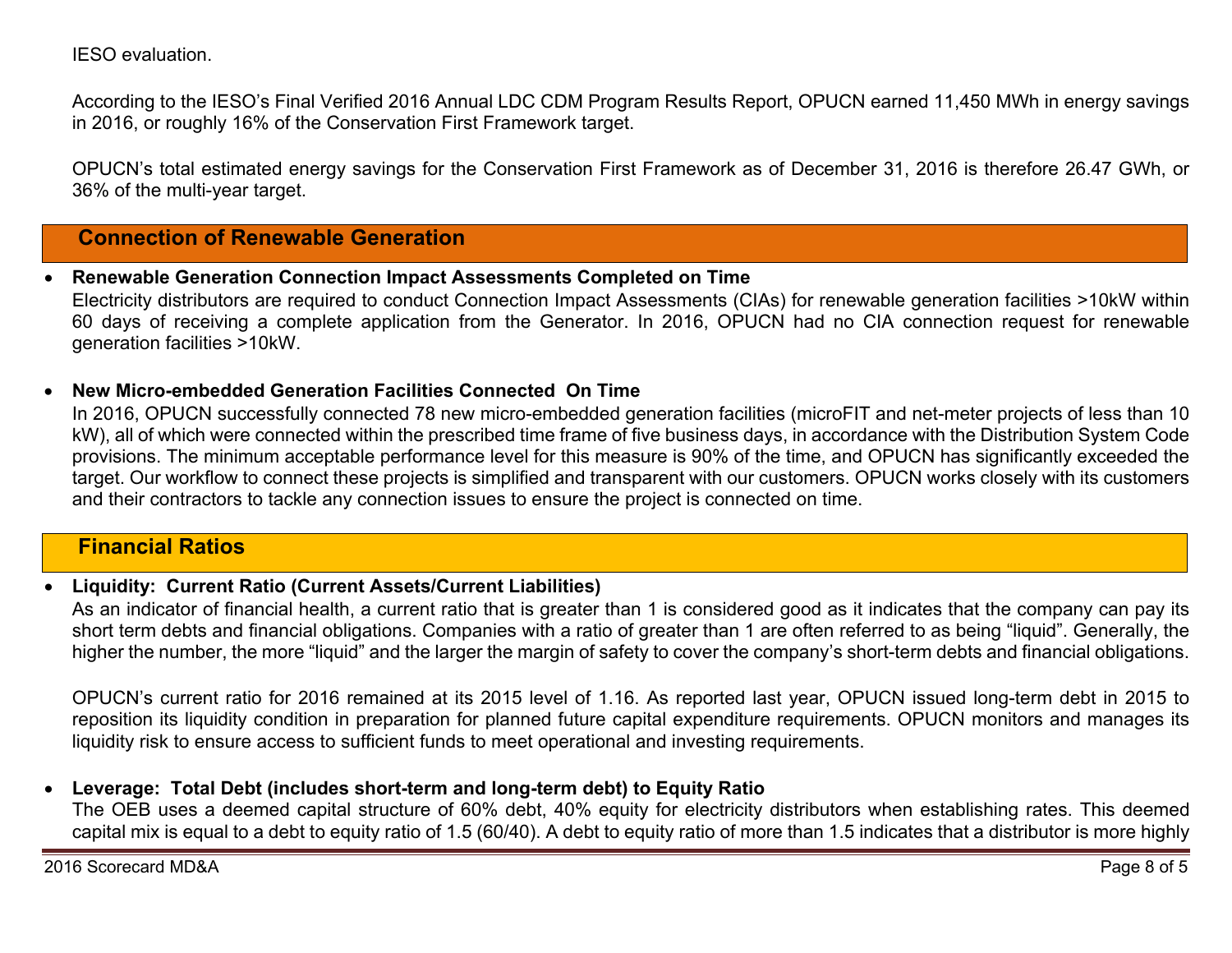IESO evaluation.

According to the IESO's Final Verified 2016 Annual LDC CDM Program Results Report, OPUCN earned 11,450 MWh in energy savings in 2016, or roughly 16% of the Conservation First Framework target.

OPUCN's total estimated energy savings for the Conservation First Framework as of December 31, 2016 is therefore 26.47 GWh, or 36% of the multi-year target.

## **Connection of Renewable Generation**

0 **Renewable Generation Connection Impact Assessments Completed on Time** 

Electricity distributors are required to conduct Connection Impact Assessments (CIAs) for renewable generation facilities >10kW within 60 days of receiving a complete application from the Generator. In 2016, OPUCN had no CIA connection request for renewable generation facilities >10kW.

0 **New Micro-embedded Generation Facilities Connected On Time** 

In 2016, OPUCN successfully connected 78 new micro-embedded generation facilities (microFIT and net-meter projects of less than 10 kW), all of which were connected within the prescribed time frame of five business days, in accordance with the Distribution System Code provisions. The minimum acceptable performance level for this measure is 90% of the time, and OPUCN has significantly exceeded the target. Our workflow to connect these projects is simplified and transparent with our customers. OPUCN works closely with its customers and their contractors to tackle any connection issues to ensure the project is connected on time.

## **Financial Ratios**

#### 0 **Liquidity: Current Ratio (Current Assets/Current Liabilities)**

As an indicator of financial health, a current ratio that is greater than 1 is considered good as it indicates that the company can pay its short term debts and financial obligations. Companies with a ratio of greater than 1 are often referred to as being "liquid". Generally, the higher the number, the more "liquid" and the larger the margin of safety to cover the company's short-term debts and financial obligations.

OPUCN's current ratio for 2016 remained at its 2015 level of 1.16. As reported last year, OPUCN issued long-term debt in 2015 to reposition its liquidity condition in preparation for planned future capital expenditure requirements. OPUCN monitors and manages its liquidity risk to ensure access to sufficient funds to meet operational and investing requirements.

#### $\bullet$ **Leverage: Total Debt (includes short-term and long-term debt) to Equity Ratio**

The OEB uses a deemed capital structure of 60% debt, 40% equity for electricity distributors when establishing rates. This deemed capital mix is equal to a debt to equity ratio of 1.5 (60/40). A debt to equity ratio of more than 1.5 indicates that a distributor is more highly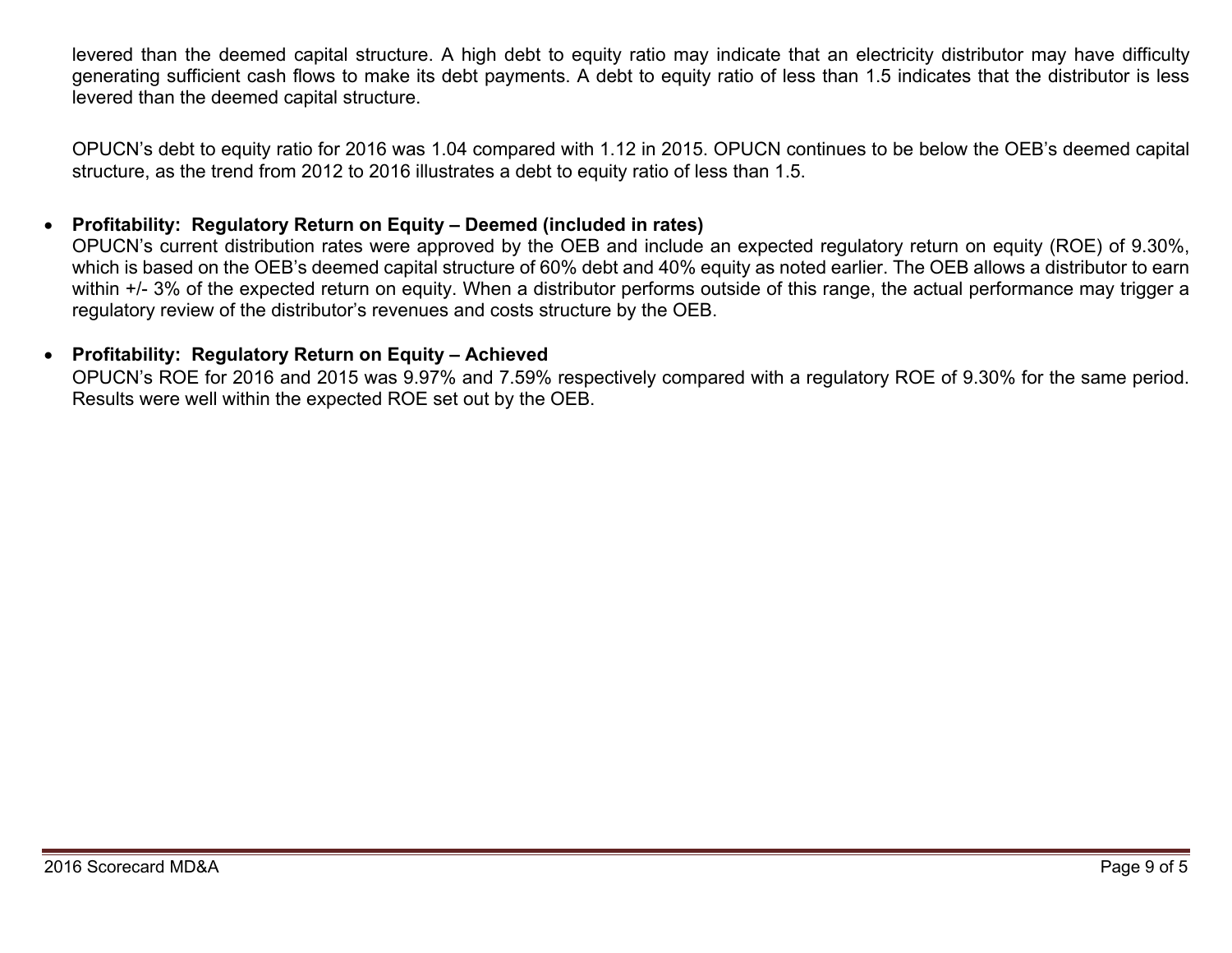levered than the deemed capital structure. A high debt to equity ratio may indicate that an electricity distributor may have difficulty generating sufficient cash flows to make its debt payments. A debt to equity ratio of less than 1.5 indicates that the distributor is less levered than the deemed capital structure.

OPUCN's debt to equity ratio for 2016 was 1.04 compared with 1.12 in 2015. OPUCN continues to be below the OEB's deemed capital structure, as the trend from 2012 to 2016 illustrates a debt to equity ratio of less than 1.5.

#### 0 **Profitability: Regulatory Return on Equity – Deemed (included in rates)**

OPUCN's current distribution rates were approved by the OEB and include an expected regulatory return on equity (ROE) of 9.30%, which is based on the OEB's deemed capital structure of 60% debt and 40% equity as noted earlier. The OEB allows a distributor to earn within +/- 3% of the expected return on equity. When a distributor performs outside of this range, the actual performance may trigger a regulatory review of the distributor's revenues and costs structure by the OEB.

### **Profitability: Regulatory Return on Equity – Achieved**

OPUCN's ROE for 2016 and 2015 was 9.97% and 7.59% respectively compared with a regulatory ROE of 9.30% for the same period. Results were well within the expected ROE set out by the OEB.